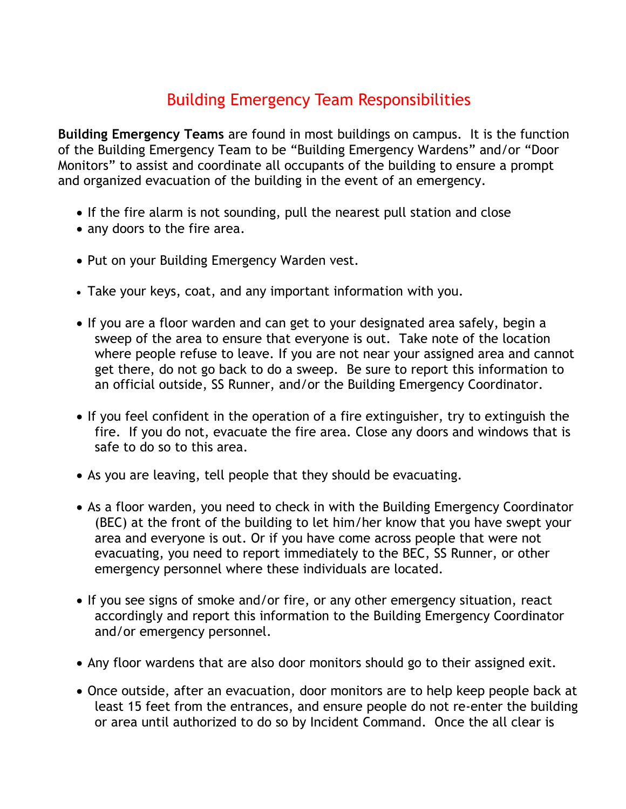## Building Emergency Team Responsibilities

**Building Emergency Teams** are found in most buildings on campus. It is the function of the Building Emergency Team to be "Building Emergency Wardens" and/or "Door Monitors" to assist and coordinate all occupants of the building to ensure a prompt and organized evacuation of the building in the event of an emergency.

- If the fire alarm is not sounding, pull the nearest pull station and close
- any doors to the fire area.
- Put on your Building Emergency Warden vest.
- Take your keys, coat, and any important information with you.
- If you are a floor warden and can get to your designated area safely, begin a sweep of the area to ensure that everyone is out. Take note of the location where people refuse to leave. If you are not near your assigned area and cannot get there, do not go back to do a sweep. Be sure to report this information to an official outside, SS Runner, and/or the Building Emergency Coordinator.
- If you feel confident in the operation of a fire extinguisher, try to extinguish the fire. If you do not, evacuate the fire area. Close any doors and windows that is safe to do so to this area.
- As you are leaving, tell people that they should be evacuating.
- As a floor warden, you need to check in with the Building Emergency Coordinator (BEC) at the front of the building to let him/her know that you have swept your area and everyone is out. Or if you have come across people that were not evacuating, you need to report immediately to the BEC, SS Runner, or other emergency personnel where these individuals are located.
- If you see signs of smoke and/or fire, or any other emergency situation, react accordingly and report this information to the Building Emergency Coordinator and/or emergency personnel.
- Any floor wardens that are also door monitors should go to their assigned exit.
- Once outside, after an evacuation, door monitors are to help keep people back at least 15 feet from the entrances, and ensure people do not re-enter the building or area until authorized to do so by Incident Command. Once the all clear is